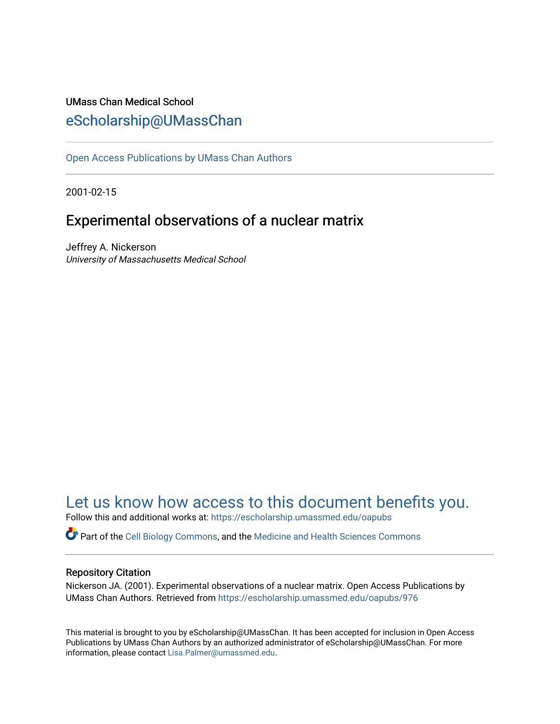## UMass Chan Medical School [eScholarship@UMassChan](https://escholarship.umassmed.edu/)

[Open Access Publications by UMass Chan Authors](https://escholarship.umassmed.edu/oapubs) 

2001-02-15

## Experimental observations of a nuclear matrix

Jeffrey A. Nickerson University of Massachusetts Medical School

## [Let us know how access to this document benefits you.](https://arcsapps.umassmed.edu/redcap/surveys/?s=XWRHNF9EJE)

Follow this and additional works at: [https://escholarship.umassmed.edu/oapubs](https://escholarship.umassmed.edu/oapubs?utm_source=escholarship.umassmed.edu%2Foapubs%2F976&utm_medium=PDF&utm_campaign=PDFCoverPages) 

Part of the [Cell Biology Commons,](http://network.bepress.com/hgg/discipline/10?utm_source=escholarship.umassmed.edu%2Foapubs%2F976&utm_medium=PDF&utm_campaign=PDFCoverPages) and the [Medicine and Health Sciences Commons](http://network.bepress.com/hgg/discipline/648?utm_source=escholarship.umassmed.edu%2Foapubs%2F976&utm_medium=PDF&utm_campaign=PDFCoverPages)

### Repository Citation

Nickerson JA. (2001). Experimental observations of a nuclear matrix. Open Access Publications by UMass Chan Authors. Retrieved from [https://escholarship.umassmed.edu/oapubs/976](https://escholarship.umassmed.edu/oapubs/976?utm_source=escholarship.umassmed.edu%2Foapubs%2F976&utm_medium=PDF&utm_campaign=PDFCoverPages)

This material is brought to you by eScholarship@UMassChan. It has been accepted for inclusion in Open Access Publications by UMass Chan Authors by an authorized administrator of eScholarship@UMassChan. For more information, please contact [Lisa.Palmer@umassmed.edu.](mailto:Lisa.Palmer@umassmed.edu)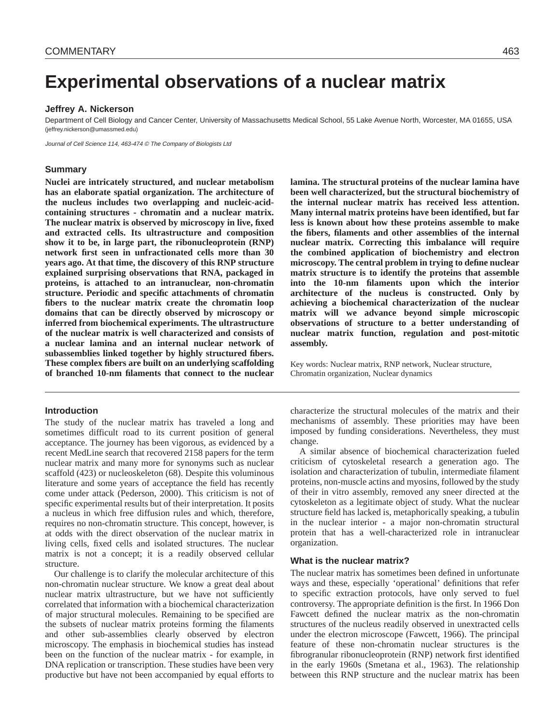# **Experimental observations of a nuclear matrix**

#### **Jeffrey A. Nickerson**

Department of Cell Biology and Cancer Center, University of Massachusetts Medical School, 55 Lake Avenue North, Worcester, MA 01655, USA (jeffrey.nickerson@umassmed.edu)

Journal of Cell Science 114, 463-474 © The Company of Biologists Ltd

#### **Summary**

**Nuclei are intricately structured, and nuclear metabolism has an elaborate spatial organization. The architecture of the nucleus includes two overlapping and nucleic-acidcontaining structures - chromatin and a nuclear matrix. The nuclear matrix is observed by microscopy in live, fixed and extracted cells. Its ultrastructure and composition show it to be, in large part, the ribonucleoprotein (RNP) network first seen in unfractionated cells more than 30 years ago. At that time, the discovery of this RNP structure explained surprising observations that RNA, packaged in proteins, is attached to an intranuclear, non-chromatin structure. Periodic and specific attachments of chromatin fibers to the nuclear matrix create the chromatin loop domains that can be directly observed by microscopy or inferred from biochemical experiments. The ultrastructure of the nuclear matrix is well characterized and consists of a nuclear lamina and an internal nuclear network of subassemblies linked together by highly structured fibers. These complex fibers are built on an underlying scaffolding of branched 10-nm filaments that connect to the nuclear**

#### **Introduction**

The study of the nuclear matrix has traveled a long and sometimes difficult road to its current position of general acceptance. The journey has been vigorous, as evidenced by a recent MedLine search that recovered 2158 papers for the term nuclear matrix and many more for synonyms such as nuclear scaffold (423) or nucleoskeleton (68). Despite this voluminous literature and some years of acceptance the field has recently come under attack (Pederson, 2000). This criticism is not of specific experimental results but of their interpretation. It posits a nucleus in which free diffusion rules and which, therefore, requires no non-chromatin structure. This concept, however, is at odds with the direct observation of the nuclear matrix in living cells, fixed cells and isolated structures. The nuclear matrix is not a concept; it is a readily observed cellular structure.

Our challenge is to clarify the molecular architecture of this non-chromatin nuclear structure. We know a great deal about nuclear matrix ultrastructure, but we have not sufficiently correlated that information with a biochemical characterization of major structural molecules. Remaining to be specified are the subsets of nuclear matrix proteins forming the filaments and other sub-assemblies clearly observed by electron microscopy. The emphasis in biochemical studies has instead been on the function of the nuclear matrix - for example, in DNA replication or transcription. These studies have been very productive but have not been accompanied by equal efforts to

**lamina. The structural proteins of the nuclear lamina have been well characterized, but the structural biochemistry of the internal nuclear matrix has received less attention. Many internal matrix proteins have been identified, but far less is known about how these proteins assemble to make the fibers, filaments and other assemblies of the internal nuclear matrix. Correcting this imbalance will require the combined application of biochemistry and electron microscopy. The central problem in trying to define nuclear matrix structure is to identify the proteins that assemble into the 10-nm filaments upon which the interior architecture of the nucleus is constructed. Only by achieving a biochemical characterization of the nuclear matrix will we advance beyond simple microscopic observations of structure to a better understanding of nuclear matrix function, regulation and post-mitotic assembly.** 

Key words: Nuclear matrix, RNP network, Nuclear structure, Chromatin organization, Nuclear dynamics

characterize the structural molecules of the matrix and their mechanisms of assembly. These priorities may have been imposed by funding considerations. Nevertheless, they must change.

A similar absence of biochemical characterization fueled criticism of cytoskeletal research a generation ago. The isolation and characterization of tubulin, intermediate filament proteins, non-muscle actins and myosins, followed by the study of their in vitro assembly, removed any sneer directed at the cytoskeleton as a legitimate object of study. What the nuclear structure field has lacked is, metaphorically speaking, a tubulin in the nuclear interior - a major non-chromatin structural protein that has a well-characterized role in intranuclear organization.

#### **What is the nuclear matrix?**

The nuclear matrix has sometimes been defined in unfortunate ways and these, especially 'operational' definitions that refer to specific extraction protocols, have only served to fuel controversy. The appropriate definition is the first. In 1966 Don Fawcett defined the nuclear matrix as the non-chromatin structures of the nucleus readily observed in unextracted cells under the electron microscope (Fawcett, 1966). The principal feature of these non-chromatin nuclear structures is the fibrogranular ribonucleoprotein (RNP) network first identified in the early 1960s (Smetana et al., 1963). The relationship between this RNP structure and the nuclear matrix has been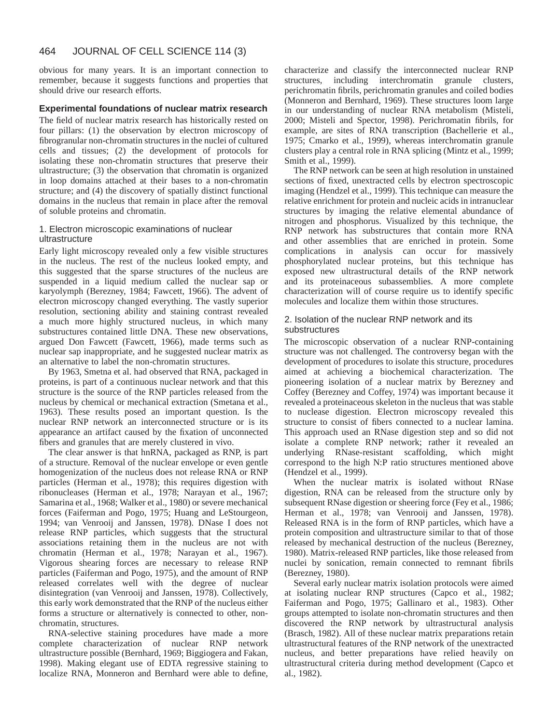#### 464 JOURNAL OF CELL SCIENCE 114 (3)

obvious for many years. It is an important connection to remember, because it suggests functions and properties that should drive our research efforts.

#### **Experimental foundations of nuclear matrix research**

The field of nuclear matrix research has historically rested on four pillars: (1) the observation by electron microscopy of fibrogranular non-chromatin structures in the nuclei of cultured cells and tissues; (2) the development of protocols for isolating these non-chromatin structures that preserve their ultrastructure; (3) the observation that chromatin is organized in loop domains attached at their bases to a non-chromatin structure; and (4) the discovery of spatially distinct functional domains in the nucleus that remain in place after the removal of soluble proteins and chromatin.

#### 1. Electron microscopic examinations of nuclear ultrastructure

Early light microscopy revealed only a few visible structures in the nucleus. The rest of the nucleus looked empty, and this suggested that the sparse structures of the nucleus are suspended in a liquid medium called the nuclear sap or karyolymph (Berezney, 1984; Fawcett, 1966). The advent of electron microscopy changed everything. The vastly superior resolution, sectioning ability and staining contrast revealed a much more highly structured nucleus, in which many substructures contained little DNA. These new observations, argued Don Fawcett (Fawcett, 1966), made terms such as nuclear sap inappropriate, and he suggested nuclear matrix as an alternative to label the non-chromatin structures.

By 1963, Smetna et al. had observed that RNA, packaged in proteins, is part of a continuous nuclear network and that this structure is the source of the RNP particles released from the nucleus by chemical or mechanical extraction (Smetana et al., 1963). These results posed an important question. Is the nuclear RNP network an interconnected structure or is its appearance an artifact caused by the fixation of unconnected fibers and granules that are merely clustered in vivo.

The clear answer is that hnRNA, packaged as RNP, is part of a structure. Removal of the nuclear envelope or even gentle homogenization of the nucleus does not release RNA or RNP particles (Herman et al., 1978); this requires digestion with ribonucleases (Herman et al., 1978; Narayan et al., 1967; Samarina et al., 1968; Walker et al., 1980) or severe mechanical forces (Faiferman and Pogo, 1975; Huang and LeStourgeon, 1994; van Venrooij and Janssen, 1978). DNase I does not release RNP particles, which suggests that the structural associations retaining them in the nucleus are not with chromatin (Herman et al., 1978; Narayan et al., 1967). Vigorous shearing forces are necessary to release RNP particles (Faiferman and Pogo, 1975), and the amount of RNP released correlates well with the degree of nuclear disintegration (van Venrooij and Janssen, 1978). Collectively, this early work demonstrated that the RNP of the nucleus either forms a structure or alternatively is connected to other, nonchromatin, structures.

RNA-selective staining procedures have made a more complete characterization of nuclear RNP network ultrastructure possible (Bernhard, 1969; Biggiogera and Fakan, 1998). Making elegant use of EDTA regressive staining to localize RNA, Monneron and Bernhard were able to define,

characterize and classify the interconnected nuclear RNP structures, including interchromatin granule clusters, perichromatin fibrils, perichromatin granules and coiled bodies (Monneron and Bernhard, 1969). These structures loom large in our understanding of nuclear RNA metabolism (Misteli, 2000; Misteli and Spector, 1998). Perichromatin fibrils, for example, are sites of RNA transcription (Bachellerie et al., 1975; Cmarko et al., 1999), whereas interchromatin granule clusters play a central role in RNA splicing (Mintz et al., 1999; Smith et al., 1999).

The RNP network can be seen at high resolution in unstained sections of fixed, unextracted cells by electron spectroscopic imaging (Hendzel et al., 1999). This technique can measure the relative enrichment for protein and nucleic acids in intranuclear structures by imaging the relative elemental abundance of nitrogen and phosphorus. Visualized by this technique, the RNP network has substructures that contain more RNA and other assemblies that are enriched in protein. Some complications in analysis can occur for massively phosphorylated nuclear proteins, but this technique has exposed new ultrastructural details of the RNP network and its proteinaceous subassemblies. A more complete characterization will of course require us to identify specific molecules and localize them within those structures.

#### 2. Isolation of the nuclear RNP network and its substructures

The microscopic observation of a nuclear RNP-containing structure was not challenged. The controversy began with the development of procedures to isolate this structure, procedures aimed at achieving a biochemical characterization. The pioneering isolation of a nuclear matrix by Berezney and Coffey (Berezney and Coffey, 1974) was important because it revealed a proteinaceous skeleton in the nucleus that was stable to nuclease digestion. Electron microscopy revealed this structure to consist of fibers connected to a nuclear lamina. This approach used an RNase digestion step and so did not isolate a complete RNP network; rather it revealed an underlying RNase-resistant scaffolding, which might correspond to the high N:P ratio structures mentioned above (Hendzel et al., 1999).

When the nuclear matrix is isolated without RNase digestion, RNA can be released from the structure only by subsequent RNase digestion or sheering force (Fey et al., 1986; Herman et al., 1978; van Venrooij and Janssen, 1978). Released RNA is in the form of RNP particles, which have a protein composition and ultrastructure similar to that of those released by mechanical destruction of the nucleus (Berezney, 1980). Matrix-released RNP particles, like those released from nuclei by sonication, remain connected to remnant fibrils (Berezney, 1980).

Several early nuclear matrix isolation protocols were aimed at isolating nuclear RNP structures (Capco et al., 1982; Faiferman and Pogo, 1975; Gallinaro et al., 1983). Other groups attempted to isolate non-chromatin structures and then discovered the RNP network by ultrastructural analysis (Brasch, 1982). All of these nuclear matrix preparations retain ultrastructural features of the RNP network of the unextracted nucleus, and better preparations have relied heavily on ultrastructural criteria during method development (Capco et al., 1982).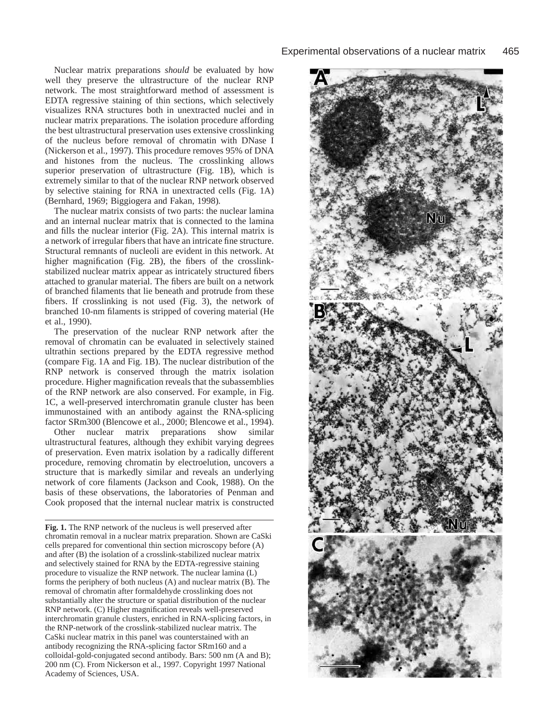Nuclear matrix preparations *should* be evaluated by how well they preserve the ultrastructure of the nuclear RNP network. The most straightforward method of assessment is EDTA regressive staining of thin sections, which selectively visualizes RNA structures both in unextracted nuclei and in nuclear matrix preparations. The isolation procedure affording the best ultrastructural preservation uses extensive crosslinking of the nucleus before removal of chromatin with DNase I (Nickerson et al., 1997). This procedure removes 95% of DNA and histones from the nucleus. The crosslinking allows superior preservation of ultrastructure (Fig. 1B), which is extremely similar to that of the nuclear RNP network observed by selective staining for RNA in unextracted cells (Fig. 1A) (Bernhard, 1969; Biggiogera and Fakan, 1998)*.* 

The nuclear matrix consists of two parts: the nuclear lamina and an internal nuclear matrix that is connected to the lamina and fills the nuclear interior (Fig. 2A). This internal matrix is a network of irregular fibers that have an intricate fine structure. Structural remnants of nucleoli are evident in this network. At higher magnification (Fig. 2B), the fibers of the crosslinkstabilized nuclear matrix appear as intricately structured fibers attached to granular material. The fibers are built on a network of branched filaments that lie beneath and protrude from these fibers. If crosslinking is not used (Fig. 3), the network of branched 10-nm filaments is stripped of covering material (He et al., 1990).

The preservation of the nuclear RNP network after the removal of chromatin can be evaluated in selectively stained ultrathin sections prepared by the EDTA regressive method (compare Fig. 1A and Fig. 1B). The nuclear distribution of the RNP network is conserved through the matrix isolation procedure. Higher magnification reveals that the subassemblies of the RNP network are also conserved. For example, in Fig. 1C, a well-preserved interchromatin granule cluster has been immunostained with an antibody against the RNA-splicing factor SRm300 (Blencowe et al., 2000; Blencowe et al., 1994).

Other nuclear matrix preparations show similar ultrastructural features, although they exhibit varying degrees of preservation. Even matrix isolation by a radically different procedure, removing chromatin by electroelution, uncovers a structure that is markedly similar and reveals an underlying network of core filaments (Jackson and Cook, 1988). On the basis of these observations, the laboratories of Penman and Cook proposed that the internal nuclear matrix is constructed

**Fig. 1.** The RNP network of the nucleus is well preserved after chromatin removal in a nuclear matrix preparation. Shown are CaSki cells prepared for conventional thin section microscopy before (A) and after (B) the isolation of a crosslink-stabilized nuclear matrix and selectively stained for RNA by the EDTA-regressive staining procedure to visualize the RNP network. The nuclear lamina (L) forms the periphery of both nucleus (A) and nuclear matrix (B). The removal of chromatin after formaldehyde crosslinking does not substantially alter the structure or spatial distribution of the nuclear RNP network. (C) Higher magnification reveals well-preserved interchromatin granule clusters, enriched in RNA-splicing factors, in the RNP-network of the crosslink-stabilized nuclear matrix. The CaSki nuclear matrix in this panel was counterstained with an antibody recognizing the RNA-splicing factor SRm160 and a colloidal-gold-conjugated second antibody. Bars: 500 nm (A and B); 200 nm (C). From Nickerson et al., 1997. Copyright 1997 National Academy of Sciences, USA.

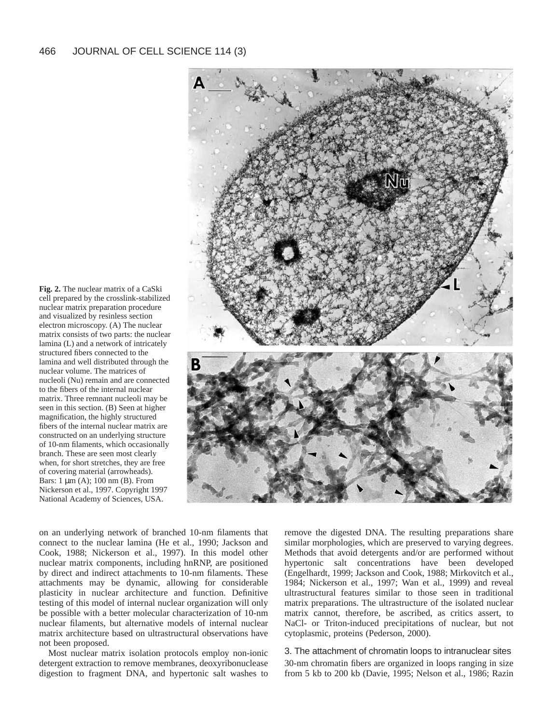**Fig. 2.** The nuclear matrix of a CaSki cell prepared by the crosslink-stabilized nuclear matrix preparation procedure and visualized by resinless section electron microscopy. (A) The nuclear matrix consists of two parts: the nuclear lamina (L) and a network of intricately structured fibers connected to the lamina and well distributed through the nuclear volume. The matrices of nucleoli (Nu) remain and are connected to the fibers of the internal nuclear matrix. Three remnant nucleoli may be seen in this section. (B) Seen at higher magnification, the highly structured fibers of the internal nuclear matrix are constructed on an underlying structure of 10-nm filaments, which occasionally branch. These are seen most clearly when, for short stretches, they are free of covering material (arrowheads). Bars: 1 µm (A); 100 nm (B). From Nickerson et al., 1997. Copyright 1997 National Academy of Sciences, USA.



on an underlying network of branched 10-nm filaments that connect to the nuclear lamina (He et al., 1990; Jackson and Cook, 1988; Nickerson et al., 1997). In this model other nuclear matrix components, including hnRNP, are positioned by direct and indirect attachments to 10-nm filaments. These attachments may be dynamic, allowing for considerable plasticity in nuclear architecture and function. Definitive testing of this model of internal nuclear organization will only be possible with a better molecular characterization of 10-nm nuclear filaments, but alternative models of internal nuclear matrix architecture based on ultrastructural observations have not been proposed.

Most nuclear matrix isolation protocols employ non-ionic detergent extraction to remove membranes, deoxyribonuclease digestion to fragment DNA, and hypertonic salt washes to remove the digested DNA. The resulting preparations share similar morphologies, which are preserved to varying degrees. Methods that avoid detergents and/or are performed without hypertonic salt concentrations have been developed (Engelhardt, 1999; Jackson and Cook, 1988; Mirkovitch et al., 1984; Nickerson et al., 1997; Wan et al., 1999) and reveal ultrastructural features similar to those seen in traditional matrix preparations. The ultrastructure of the isolated nuclear matrix cannot, therefore, be ascribed, as critics assert, to NaCl- or Triton-induced precipitations of nuclear, but not cytoplasmic, proteins (Pederson, 2000).

3. The attachment of chromatin loops to intranuclear sites 30-nm chromatin fibers are organized in loops ranging in size from 5 kb to 200 kb (Davie, 1995; Nelson et al., 1986; Razin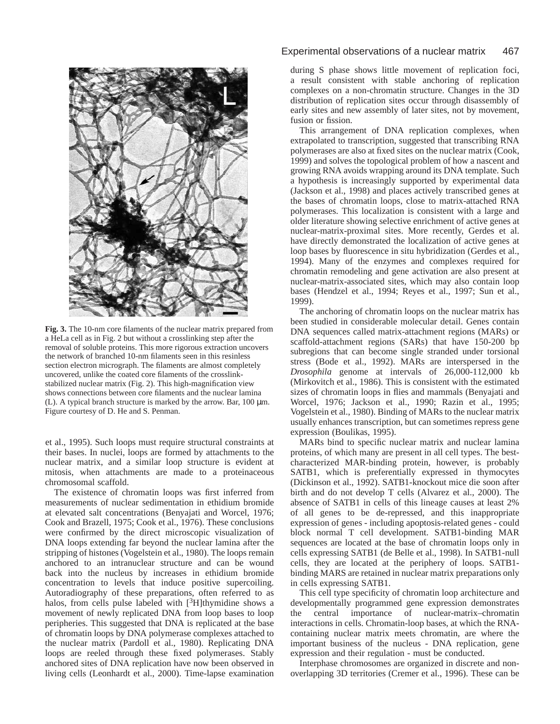

**Fig. 3.** The 10-nm core filaments of the nuclear matrix prepared from a HeLa cell as in Fig. 2 but without a crosslinking step after the removal of soluble proteins. This more rigorous extraction uncovers the network of branched 10-nm filaments seen in this resinless section electron micrograph. The filaments are almost completely uncovered, unlike the coated core filaments of the crosslinkstabilized nuclear matrix (Fig. 2). This high-magnification view shows connections between core filaments and the nuclear lamina (L). A typical branch structure is marked by the arrow. Bar,  $100 \mu m$ . Figure courtesy of D. He and S. Penman.

et al., 1995). Such loops must require structural constraints at their bases. In nuclei, loops are formed by attachments to the nuclear matrix, and a similar loop structure is evident at mitosis, when attachments are made to a proteinaceous chromosomal scaffold.

The existence of chromatin loops was first inferred from measurements of nuclear sedimentation in ethidium bromide at elevated salt concentrations (Benyajati and Worcel, 1976; Cook and Brazell, 1975; Cook et al., 1976). These conclusions were confirmed by the direct microscopic visualization of DNA loops extending far beyond the nuclear lamina after the stripping of histones (Vogelstein et al., 1980). The loops remain anchored to an intranuclear structure and can be wound back into the nucleus by increases in ethidium bromide concentration to levels that induce positive supercoiling. Autoradiography of these preparations, often referred to as halos, from cells pulse labeled with  $[3H]$ thymidine shows a movement of newly replicated DNA from loop bases to loop peripheries. This suggested that DNA is replicated at the base of chromatin loops by DNA polymerase complexes attached to the nuclear matrix (Pardoll et al., 1980). Replicating DNA loops are reeled through these fixed polymerases. Stably anchored sites of DNA replication have now been observed in living cells (Leonhardt et al., 2000). Time-lapse examination

#### Experimental observations of a nuclear matrix 467

during S phase shows little movement of replication foci, a result consistent with stable anchoring of replication complexes on a non-chromatin structure. Changes in the 3D distribution of replication sites occur through disassembly of early sites and new assembly of later sites, not by movement, fusion or fission.

This arrangement of DNA replication complexes, when extrapolated to transcription, suggested that transcribing RNA polymerases are also at fixed sites on the nuclear matrix (Cook, 1999) and solves the topological problem of how a nascent and growing RNA avoids wrapping around its DNA template. Such a hypothesis is increasingly supported by experimental data (Jackson et al., 1998) and places actively transcribed genes at the bases of chromatin loops, close to matrix-attached RNA polymerases. This localization is consistent with a large and older literature showing selective enrichment of active genes at nuclear-matrix-proximal sites. More recently, Gerdes et al. have directly demonstrated the localization of active genes at loop bases by fluorescence in situ hybridization (Gerdes et al., 1994). Many of the enzymes and complexes required for chromatin remodeling and gene activation are also present at nuclear-matrix-associated sites, which may also contain loop bases (Hendzel et al., 1994; Reyes et al., 1997; Sun et al., 1999).

The anchoring of chromatin loops on the nuclear matrix has been studied in considerable molecular detail. Genes contain DNA sequences called matrix-attachment regions (MARs) or scaffold-attachment regions (SARs) that have 150-200 bp subregions that can become single stranded under torsional stress (Bode et al., 1992). MARs are interspersed in the *Drosophila* genome at intervals of 26,000-112,000 kb (Mirkovitch et al., 1986). This is consistent with the estimated sizes of chromatin loops in flies and mammals (Benyajati and Worcel, 1976; Jackson et al., 1990; Razin et al., 1995; Vogelstein et al., 1980). Binding of MARs to the nuclear matrix usually enhances transcription, but can sometimes repress gene expression (Boulikas, 1995).

MARs bind to specific nuclear matrix and nuclear lamina proteins, of which many are present in all cell types. The bestcharacterized MAR-binding protein, however, is probably SATB1, which is preferentially expressed in thymocytes (Dickinson et al., 1992). SATB1-knockout mice die soon after birth and do not develop T cells (Alvarez et al., 2000). The absence of SATB1 in cells of this lineage causes at least 2% of all genes to be de-repressed, and this inappropriate expression of genes - including apoptosis-related genes - could block normal T cell development. SATB1-binding MAR sequences are located at the base of chromatin loops only in cells expressing SATB1 (de Belle et al., 1998). In SATB1-null cells, they are located at the periphery of loops. SATB1 binding MARS are retained in nuclear matrix preparations only in cells expressing SATB1.

This cell type specificity of chromatin loop architecture and developmentally programmed gene expression demonstrates the central importance of nuclear-matrix–chromatin interactions in cells. Chromatin-loop bases, at which the RNAcontaining nuclear matrix meets chromatin, are where the important business of the nucleus - DNA replication, gene expression and their regulation - must be conducted.

Interphase chromosomes are organized in discrete and nonoverlapping 3D territories (Cremer et al., 1996). These can be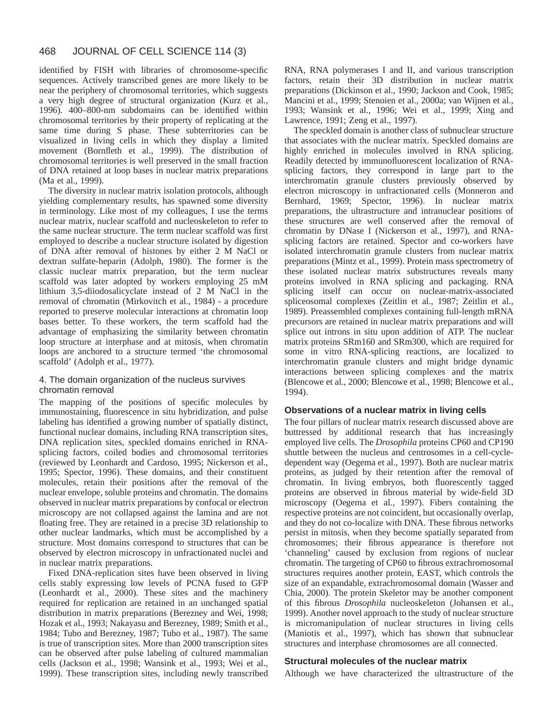identified by FISH with libraries of chromosome-specific sequences. Actively transcribed genes are more likely to be near the periphery of chromosomal territories, which suggests a very high degree of structural organization (Kurz et al., 1996). 400–800-nm subdomains can be identified within chromosomal territories by their property of replicating at the same time during S phase. These subterritories can be visualized in living cells in which they display a limited movement (Bornfleth et al., 1999). The distribution of chromosomal territories is well preserved in the small fraction of DNA retained at loop bases in nuclear matrix preparations (Ma et al., 1999).

The diversity in nuclear matrix isolation protocols, although yielding complementary results, has spawned some diversity in terminology. Like most of my colleagues, I use the terms nuclear matrix, nuclear scaffold and nucleoskeleton to refer to the same nuclear structure. The term nuclear scaffold was first employed to describe a nuclear structure isolated by digestion of DNA after removal of histones by either 2 M NaCl or dextran sulfate-heparin (Adolph, 1980). The former is the classic nuclear matrix preparation, but the term nuclear scaffold was later adopted by workers employing 25 mM lithium 3,5-diiodosalicyclate instead of 2 M NaCl in the removal of chromatin (Mirkovitch et al., 1984) - a procedure reported to preserve molecular interactions at chromatin loop bases better. To these workers, the term scaffold had the advantage of emphasizing the similarity between chromatin loop structure at interphase and at mitosis, when chromatin loops are anchored to a structure termed 'the chromosomal scaffold' (Adolph et al., 1977).

#### 4. The domain organization of the nucleus survives chromatin removal

The mapping of the positions of specific molecules by immunostaining, fluorescence in situ hybridization, and pulse labeling has identified a growing number of spatially distinct, functional nuclear domains, including RNA transcription sites, DNA replication sites, speckled domains enriched in RNAsplicing factors, coiled bodies and chromosomal territories (reviewed by Leonhardt and Cardoso, 1995; Nickerson et al., 1995; Spector, 1996). These domains, and their constituent molecules, retain their positions after the removal of the nuclear envelope, soluble proteins and chromatin. The domains observed in nuclear matrix preparations by confocal or electron microscopy are not collapsed against the lamina and are not floating free. They are retained in a precise 3D relationship to other nuclear landmarks, which must be accomplished by a structure. Most domains correspond to structures that can be observed by electron microscopy in unfractionated nuclei and in nuclear matrix preparations.

Fixed DNA-replication sites have been observed in living cells stably expressing low levels of PCNA fused to GFP (Leonhardt et al., 2000). These sites and the machinery required for replication are retained in an unchanged spatial distribution in matrix preparations (Berezney and Wei, 1998; Hozak et al., 1993; Nakayasu and Berezney, 1989; Smith et al., 1984; Tubo and Berezney, 1987; Tubo et al., 1987). The same is true of transcription sites. More than 2000 transcription sites can be observed after pulse labeling of cultured mammalian cells (Jackson et al., 1998; Wansink et al., 1993; Wei et al., 1999). These transcription sites, including newly transcribed

RNA, RNA polymerases I and II, and various transcription factors, retain their 3D distribution in nuclear matrix preparations (Dickinson et al., 1990; Jackson and Cook, 1985; Mancini et al., 1999; Stenoien et al., 2000a; van Wijnen et al., 1993; Wansink et al., 1996; Wei et al., 1999; Xing and Lawrence, 1991; Zeng et al., 1997).

The speckled domain is another class of subnuclear structure that associates with the nuclear matrix. Speckled domains are highly enriched in molecules involved in RNA splicing. Readily detected by immunofluorescent localization of RNAsplicing factors, they correspond in large part to the interchromatin granule clusters previously observed by electron microscopy in unfractionated cells (Monneron and Bernhard, 1969; Spector, 1996). In nuclear matrix preparations, the ultrastructure and intranuclear positions of these structures are well conserved after the removal of chromatin by DNase I (Nickerson et al., 1997), and RNAsplicing factors are retained. Spector and co-workers have isolated interchromatin granule clusters from nuclear matrix preparations (Mintz et al., 1999). Protein mass spectrometry of these isolated nuclear matrix substructures reveals many proteins involved in RNA splicing and packaging. RNA splicing itself can occur on nuclear-matrix-associated spliceosomal complexes (Zeitlin et al., 1987; Zeitlin et al., 1989). Preassembled complexes containing full-length mRNA precursors are retained in nuclear matrix preparations and will splice out introns in situ upon addition of ATP. The nuclear matrix proteins SRm160 and SRm300, which are required for some in vitro RNA-splicing reactions, are localized to interchromatin granule clusters and might bridge dynamic interactions between splicing complexes and the matrix (Blencowe et al., 2000; Blencowe et al., 1998; Blencowe et al., 1994).

#### **Observations of a nuclear matrix in living cells**

The four pillars of nuclear matrix research discussed above are buttressed by additional research that has increasingly employed live cells. The *Drosophila* proteins CP60 and CP190 shuttle between the nucleus and centrosomes in a cell-cycledependent way (Oegema et al., 1997). Both are nuclear matrix proteins, as judged by their retention after the removal of chromatin. In living embryos, both fluorescently tagged proteins are observed in fibrous material by wide-field 3D microscopy (Oegema et al., 1997). Fibers containing the respective proteins are not coincident, but occasionally overlap, and they do not co-localize with DNA. These fibrous networks persist in mitosis, when they become spatially separated from chromosomes; their fibrous appearance is therefore not 'channeling' caused by exclusion from regions of nuclear chromatin. The targeting of CP60 to fibrous extrachromosomal structures requires another protein, EAST, which controls the size of an expandable, extrachromosomal domain (Wasser and Chia, 2000). The protein Skeletor may be another component of this fibrous *Drosophila* nucleoskeleton (Johansen et al., 1999). Another novel approach to the study of nuclear structure is micromanipulation of nuclear structures in living cells (Maniotis et al., 1997), which has shown that subnuclear structures and interphase chromosomes are all connected.

#### **Structural molecules of the nuclear matrix**

Although we have characterized the ultrastructure of the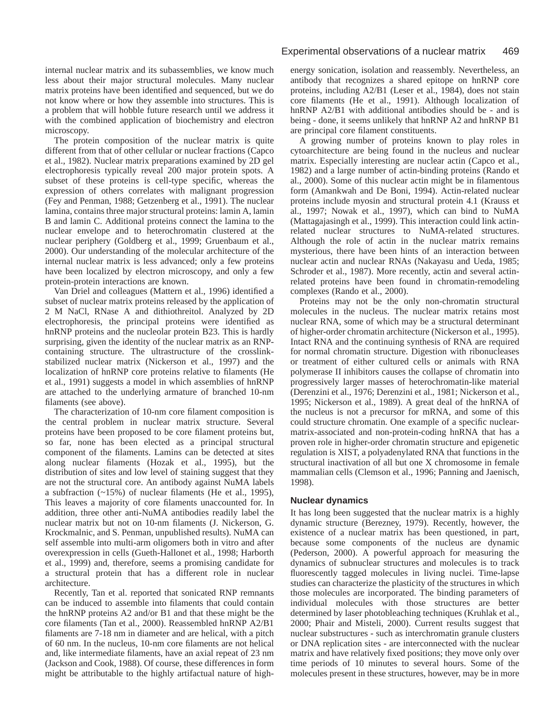internal nuclear matrix and its subassemblies, we know much less about their major structural molecules. Many nuclear matrix proteins have been identified and sequenced, but we do not know where or how they assemble into structures. This is a problem that will hobble future research until we address it with the combined application of biochemistry and electron microscopy.

The protein composition of the nuclear matrix is quite different from that of other cellular or nuclear fractions (Capco et al., 1982). Nuclear matrix preparations examined by 2D gel electrophoresis typically reveal 200 major protein spots. A subset of these proteins is cell-type specific, whereas the expression of others correlates with malignant progression (Fey and Penman, 1988; Getzenberg et al., 1991). The nuclear lamina, contains three major structural proteins: lamin A, lamin B and lamin C. Additional proteins connect the lamina to the nuclear envelope and to heterochromatin clustered at the nuclear periphery (Goldberg et al., 1999; Gruenbaum et al., 2000). Our understanding of the molecular architecture of the internal nuclear matrix is less advanced; only a few proteins have been localized by electron microscopy, and only a few protein-protein interactions are known.

Van Driel and colleagues (Mattern et al., 1996) identified a subset of nuclear matrix proteins released by the application of 2 M NaCl, RNase A and dithiothreitol. Analyzed by 2D electrophoresis, the principal proteins were identified as hnRNP proteins and the nucleolar protein B23. This is hardly surprising, given the identity of the nuclear matrix as an RNPcontaining structure. The ultrastructure of the crosslinkstabilized nuclear matrix (Nickerson et al., 1997) and the localization of hnRNP core proteins relative to filaments (He et al., 1991) suggests a model in which assemblies of hnRNP are attached to the underlying armature of branched 10-nm filaments (see above).

The characterization of 10-nm core filament composition is the central problem in nuclear matrix structure. Several proteins have been proposed to be core filament proteins but, so far, none has been elected as a principal structural component of the filaments. Lamins can be detected at sites along nuclear filaments (Hozak et al., 1995), but the distribution of sites and low level of staining suggest that they are not the structural core. An antibody against NuMA labels a subfraction (~15%) of nuclear filaments (He et al., 1995), This leaves a majority of core filaments unaccounted for. In addition, three other anti-NuMA antibodies readily label the nuclear matrix but not on 10-nm filaments (J. Nickerson, G. Krockmalnic, and S. Penman, unpublished results). NuMA can self assemble into multi-arm oligomers both in vitro and after overexpression in cells (Gueth-Hallonet et al., 1998; Harborth et al., 1999) and, therefore, seems a promising candidate for a structural protein that has a different role in nuclear architecture.

Recently, Tan et al. reported that sonicated RNP remnants can be induced to assemble into filaments that could contain the hnRNP proteins A2 and/or B1 and that these might be the core filaments (Tan et al., 2000). Reassembled hnRNP A2/B1 filaments are 7-18 nm in diameter and are helical, with a pitch of 60 nm. In the nucleus, 10-nm core filaments are not helical and, like intermediate filaments, have an axial repeat of 23 nm (Jackson and Cook, 1988). Of course, these differences in form might be attributable to the highly artifactual nature of high-

energy sonication, isolation and reassembly. Nevertheless, an antibody that recognizes a shared epitope on hnRNP core proteins, including A2/B1 (Leser et al., 1984), does not stain core filaments (He et al., 1991). Although localization of hnRNP A2/B1 with additional antibodies should be - and is being - done, it seems unlikely that hnRNP A2 and hnRNP B1 are principal core filament constituents.

A growing number of proteins known to play roles in cytoarchitecture are being found in the nucleus and nuclear matrix. Especially interesting are nuclear actin (Capco et al., 1982) and a large number of actin-binding proteins (Rando et al., 2000). Some of this nuclear actin might be in filamentous form (Amankwah and De Boni, 1994). Actin-related nuclear proteins include myosin and structural protein 4.1 (Krauss et al., 1997; Nowak et al., 1997), which can bind to NuMA (Mattagajasingh et al., 1999). This interaction could link actinrelated nuclear structures to NuMA-related structures. Although the role of actin in the nuclear matrix remains mysterious, there have been hints of an interaction between nuclear actin and nuclear RNAs (Nakayasu and Ueda, 1985; Schroder et al., 1987). More recently, actin and several actinrelated proteins have been found in chromatin-remodeling complexes (Rando et al., 2000).

Proteins may not be the only non-chromatin structural molecules in the nucleus. The nuclear matrix retains most nuclear RNA, some of which may be a structural determinant of higher-order chromatin architecture (Nickerson et al., 1995). Intact RNA and the continuing synthesis of RNA are required for normal chromatin structure. Digestion with ribonucleases or treatment of either cultured cells or animals with RNA polymerase II inhibitors causes the collapse of chromatin into progressively larger masses of heterochromatin-like material (Derenzini et al., 1976; Derenzini et al., 1981; Nickerson et al., 1995; Nickerson et al., 1989). A great deal of the hnRNA of the nucleus is not a precursor for mRNA, and some of this could structure chromatin. One example of a specific nuclearmatrix-associated and non-protein-coding hnRNA that has a proven role in higher-order chromatin structure and epigenetic regulation is XIST, a polyadenylated RNA that functions in the structural inactivation of all but one X chromosome in female mammalian cells (Clemson et al., 1996; Panning and Jaenisch, 1998).

#### **Nuclear dynamics**

It has long been suggested that the nuclear matrix is a highly dynamic structure (Berezney, 1979). Recently, however, the existence of a nuclear matrix has been questioned, in part, because some components of the nucleus are dynamic (Pederson, 2000). A powerful approach for measuring the dynamics of subnuclear structures and molecules is to track fluorescently tagged molecules in living nuclei. Time-lapse studies can characterize the plasticity of the structures in which those molecules are incorporated. The binding parameters of individual molecules with those structures are better determined by laser photobleaching techniques (Kruhlak et al., 2000; Phair and Misteli, 2000). Current results suggest that nuclear substructures - such as interchromatin granule clusters or DNA replication sites - are interconnected with the nuclear matrix and have relatively fixed positions; they move only over time periods of 10 minutes to several hours. Some of the molecules present in these structures, however, may be in more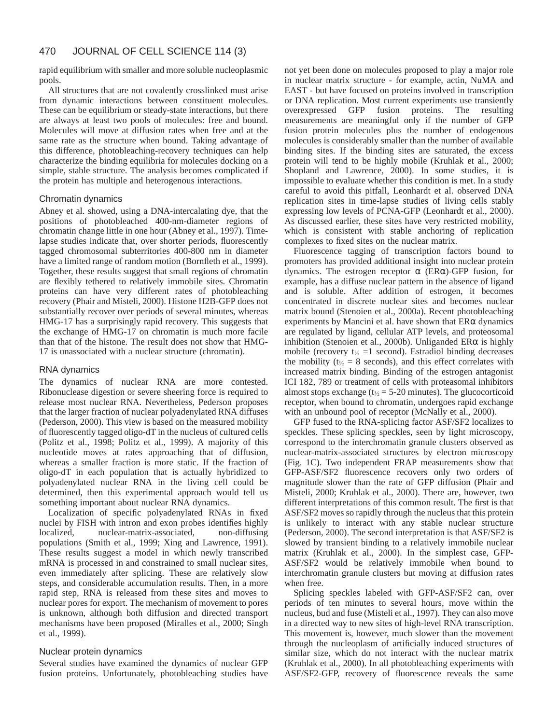rapid equilibrium with smaller and more soluble nucleoplasmic pools.

All structures that are not covalently crosslinked must arise from dynamic interactions between constituent molecules. These can be equilibrium or steady-state interactions, but there are always at least two pools of molecules: free and bound. Molecules will move at diffusion rates when free and at the same rate as the structure when bound. Taking advantage of this difference, photobleaching-recovery techniques can help characterize the binding equilibria for molecules docking on a simple, stable structure. The analysis becomes complicated if the protein has multiple and heterogenous interactions.

#### Chromatin dynamics

Abney et al. showed, using a DNA-intercalating dye, that the positions of photobleached 400-nm-diameter regions of chromatin change little in one hour (Abney et al., 1997). Timelapse studies indicate that, over shorter periods, fluorescently tagged chromosomal subterritories 400-800 nm in diameter have a limited range of random motion (Bornfleth et al., 1999). Together, these results suggest that small regions of chromatin are flexibly tethered to relatively immobile sites. Chromatin proteins can have very different rates of photobleaching recovery (Phair and Misteli, 2000). Histone H2B-GFP does not substantially recover over periods of several minutes, whereas HMG-17 has a surprisingly rapid recovery. This suggests that the exchange of HMG-17 on chromatin is much more facile than that of the histone. The result does not show that HMG-17 is unassociated with a nuclear structure (chromatin).

#### RNA dynamics

The dynamics of nuclear RNA are more contested. Ribonuclease digestion or severe sheering force is required to release most nuclear RNA. Nevertheless, Pederson proposes that the larger fraction of nuclear polyadenylated RNA diffuses (Pederson, 2000). This view is based on the measured mobility of fluorescently tagged oligo-dT in the nucleus of cultured cells (Politz et al., 1998; Politz et al., 1999). A majority of this nucleotide moves at rates approaching that of diffusion, whereas a smaller fraction is more static. If the fraction of oligo-dT in each population that is actually hybridized to polyadenylated nuclear RNA in the living cell could be determined, then this experimental approach would tell us something important about nuclear RNA dynamics.

Localization of specific polyadenylated RNAs in fixed nuclei by FISH with intron and exon probes identifies highly localized, nuclear-matrix-associated, non-diffusing populations (Smith et al., 1999; Xing and Lawrence, 1991). These results suggest a model in which newly transcribed mRNA is processed in and constrained to small nuclear sites, even immediately after splicing. These are relatively slow steps, and considerable accumulation results. Then, in a more rapid step, RNA is released from these sites and moves to nuclear pores for export. The mechanism of movement to pores is unknown, although both diffusion and directed transport mechanisms have been proposed (Miralles et al., 2000; Singh et al., 1999).

#### Nuclear protein dynamics

Several studies have examined the dynamics of nuclear GFP fusion proteins. Unfortunately, photobleaching studies have

not yet been done on molecules proposed to play a major role in nuclear matrix structure - for example, actin, NuMA and EAST - but have focused on proteins involved in transcription or DNA replication. Most current experiments use transiently overexpressed GFP fusion proteins. The resulting measurements are meaningful only if the number of GFP fusion protein molecules plus the number of endogenous molecules is considerably smaller than the number of available binding sites. If the binding sites are saturated, the excess protein will tend to be highly mobile (Kruhlak et al., 2000; Shopland and Lawrence, 2000). In some studies, it is impossible to evaluate whether this condition is met. In a study careful to avoid this pitfall, Leonhardt et al. observed DNA replication sites in time-lapse studies of living cells stably expressing low levels of PCNA-GFP (Leonhardt et al., 2000). As discussed earlier, these sites have very restricted mobility, which is consistent with stable anchoring of replication complexes to fixed sites on the nuclear matrix.

Fluorescence tagging of transcription factors bound to promoters has provided additional insight into nuclear protein dynamics. The estrogen receptor  $\alpha$  (ER $\alpha$ )-GFP fusion, for example, has a diffuse nuclear pattern in the absence of ligand and is soluble. After addition of estrogen, it becomes concentrated in discrete nuclear sites and becomes nuclear matrix bound (Stenoien et al., 2000a). Recent photobleaching experiments by Mancini et al. have shown that ERα dynamics are regulated by ligand, cellular ATP levels, and proteosomal inhibition (Stenoien et al., 2000b). Unliganded  $ER\alpha$  is highly mobile (recovery  $t_{\frac{1}{2}} = 1$  second). Estradiol binding decreases the mobility ( $t_{1/2} = 8$  seconds), and this effect correlates with increased matrix binding. Binding of the estrogen antagonist ICI 182, 789 or treatment of cells with proteasomal inhibitors almost stops exchange ( $t_{\frac{1}{2}}$  = 5-20 minutes). The glucocorticoid receptor, when bound to chromatin, undergoes rapid exchange with an unbound pool of receptor (McNally et al., 2000).

GFP fused to the RNA-splicing factor ASF/SF2 localizes to speckles. These splicing speckles, seen by light microscopy, correspond to the interchromatin granule clusters observed as nuclear-matrix-associated structures by electron microscopy (Fig. 1C). Two independent FRAP measurements show that GFP-ASF/SF2 fluorescence recovers only two orders of magnitude slower than the rate of GFP diffusion (Phair and Misteli, 2000; Kruhlak et al., 2000). There are, however, two different interpretations of this common result. The first is that ASF/SF2 moves so rapidly through the nucleus that this protein is unlikely to interact with any stable nuclear structure (Pederson, 2000). The second interpretation is that ASF/SF2 is slowed by transient binding to a relatively immobile nuclear matrix (Kruhlak et al., 2000). In the simplest case, GFP-ASF/SF2 would be relatively immobile when bound to interchromatin granule clusters but moving at diffusion rates when free.

Splicing speckles labeled with GFP-ASF/SF2 can, over periods of ten minutes to several hours, move within the nucleus, bud and fuse (Misteli et al., 1997). They can also move in a directed way to new sites of high-level RNA transcription. This movement is, however, much slower than the movement through the nucleoplasm of artificially induced structures of similar size, which do not interact with the nuclear matrix (Kruhlak et al., 2000). In all photobleaching experiments with ASF/SF2-GFP, recovery of fluorescence reveals the same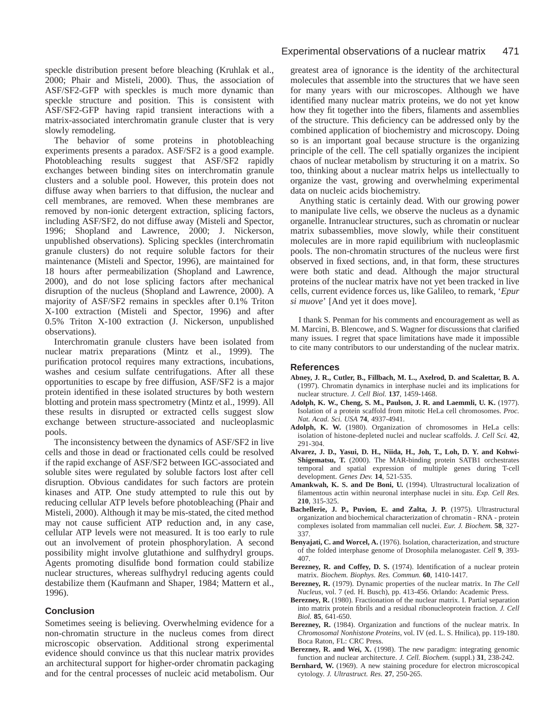speckle distribution present before bleaching (Kruhlak et al., 2000; Phair and Misteli, 2000). Thus, the association of ASF/SF2-GFP with speckles is much more dynamic than speckle structure and position. This is consistent with ASF/SF2-GFP having rapid transient interactions with a matrix-associated interchromatin granule cluster that is very slowly remodeling.

The behavior of some proteins in photobleaching experiments presents a paradox. ASF/SF2 is a good example. Photobleaching results suggest that ASF/SF2 rapidly exchanges between binding sites on interchromatin granule clusters and a soluble pool. However, this protein does not diffuse away when barriers to that diffusion, the nuclear and cell membranes, are removed. When these membranes are removed by non-ionic detergent extraction, splicing factors, including ASF/SF2, do not diffuse away (Misteli and Spector, 1996; Shopland and Lawrence, 2000; J. Nickerson, unpublished observations). Splicing speckles (interchromatin granule clusters) do not require soluble factors for their maintenance (Misteli and Spector, 1996), are maintained for 18 hours after permeabilization (Shopland and Lawrence, 2000), and do not lose splicing factors after mechanical disruption of the nucleus (Shopland and Lawrence, 2000). A majority of ASF/SF2 remains in speckles after 0.1% Triton X-100 extraction (Misteli and Spector, 1996) and after 0.5% Triton X-100 extraction (J. Nickerson, unpublished observations).

Interchromatin granule clusters have been isolated from nuclear matrix preparations (Mintz et al., 1999). The purification protocol requires many extractions, incubations, washes and cesium sulfate centrifugations. After all these opportunities to escape by free diffusion, ASF/SF2 is a major protein identified in these isolated structures by both western blotting and protein mass spectrometry (Mintz et al., 1999). All these results in disrupted or extracted cells suggest slow exchange between structure-associated and nucleoplasmic pools.

The inconsistency between the dynamics of ASF/SF2 in live cells and those in dead or fractionated cells could be resolved if the rapid exchange of ASF/SF2 between IGC-associated and soluble sites were regulated by soluble factors lost after cell disruption. Obvious candidates for such factors are protein kinases and ATP. One study attempted to rule this out by reducing cellular ATP levels before photobleaching (Phair and Misteli, 2000). Although it may be mis-stated, the cited method may not cause sufficient ATP reduction and, in any case, cellular ATP levels were not measured. It is too early to rule out an involvement of protein phosphorylation. A second possibility might involve glutathione and sulfhydryl groups. Agents promoting disulfide bond formation could stabilize nuclear structures, whereas sulfhydryl reducing agents could destabilize them (Kaufmann and Shaper, 1984; Mattern et al., 1996).

#### **Conclusion**

Sometimes seeing is believing. Overwhelming evidence for a non-chromatin structure in the nucleus comes from direct microscopic observation. Additional strong experimental evidence should convince us that this nuclear matrix provides an architectural support for higher-order chromatin packaging and for the central processes of nucleic acid metabolism. Our

greatest area of ignorance is the identity of the architectural molecules that assemble into the structures that we have seen for many years with our microscopes. Although we have identified many nuclear matrix proteins, we do not yet know how they fit together into the fibers, filaments and assemblies of the structure. This deficiency can be addressed only by the combined application of biochemistry and microscopy. Doing so is an important goal because structure is the organizing principle of the cell. The cell spatially organizes the incipient chaos of nuclear metabolism by structuring it on a matrix. So too, thinking about a nuclear matrix helps us intellectually to organize the vast, growing and overwhelming experimental data on nucleic acids biochemistry.

Anything static is certainly dead. With our growing power to manipulate live cells, we observe the nucleus as a dynamic organelle. Intranuclear structures, such as chromatin or nuclear matrix subassemblies, move slowly, while their constituent molecules are in more rapid equilibrium with nucleoplasmic pools. The non-chromatin structures of the nucleus were first observed in fixed sections, and, in that form, these structures were both static and dead. Although the major structural proteins of the nuclear matrix have not yet been tracked in live cells, current evidence forces us, like Galileo, to remark, '*Epur si muove*' [And yet it does move].

I thank S. Penman for his comments and encouragement as well as M. Marcini, B. Blencowe, and S. Wagner for discussions that clarified many issues. I regret that space limitations have made it impossible to cite many contributors to our understanding of the nuclear matrix.

#### **References**

- **Abney, J. R., Cutler, B., Fillbach, M. L., Axelrod, D. and Scalettar, B. A.** (1997). Chromatin dynamics in interphase nuclei and its implications for nuclear structure. *J. Cell Biol.* **137**, 1459-1468.
- **Adolph, K. W., Cheng, S. M., Paulson, J. R. and Laemmli, U. K.** (1977). Isolation of a protein scaffold from mitotic HeLa cell chromosomes. *Proc. Nat. Acad. Sci. USA* **74**, 4937-4941.
- **Adolph, K. W.** (1980). Organization of chromosomes in HeLa cells: isolation of histone-depleted nuclei and nuclear scaffolds. *J. Cell Sci.* **42**, 291-304.
- **Alvarez, J. D., Yasui, D. H., Niida, H., Joh, T., Loh, D. Y. and Kohwi-Shigematsu, T.** (2000). The MAR-binding protein SATB1 orchestrates temporal and spatial expression of multiple genes during T-cell development. *Genes Dev.* **14**, 521-535.
- **Amankwah, K. S. and De Boni, U.** (1994). Ultrastructural localization of filamentous actin within neuronal interphase nuclei in situ. *Exp. Cell Res.* **210**, 315-325.
- **Bachellerie, J. P., Puvion, E. and Zalta, J. P.** (1975). Ultrastructural organization and biochemical characterization of chromatin - RNA - protein complexes isolated from mammalian cell nuclei. *Eur. J. Biochem.* **58**, 327- 337.
- **Benyajati, C. and Worcel, A.** (1976). Isolation, characterization, and structure of the folded interphase genome of Drosophila melanogaster. *Cell* **9**, 393- 407.
- Berezney, R. and Coffey, D. S. (1974). Identification of a nuclear protein matrix. *Biochem. Biophys. Res. Commun.* **60**, 1410-1417.
- **Berezney, R.** (1979). Dynamic properties of the nuclear matrix. In *The Cell Nucleus*, vol. 7 (ed. H. Busch), pp. 413-456. Orlando: Academic Press.
- Berezney, R. (1980). Fractionation of the nuclear matrix. I. Partial separation into matrix protein fibrils and a residual ribonucleoprotein fraction. *J. Cell Biol.* **85**, 641-650.
- Berezney, R. (1984). Organization and functions of the nuclear matrix. In *Chromosomal Nonhistone Proteins*, vol. IV (ed. L. S. Hnilica), pp. 119-180. Boca Raton, FL: CRC Press.
- Berezney, R. and Wei, X. (1998). The new paradigm: integrating genomic function and nuclear architecture. *J. Cell. Biochem.* (suppl.) **31**, 238-242.
- **Bernhard, W.** (1969). A new staining procedure for electron microscopical cytology. *J. Ultrastruct. Res.* **27**, 250-265.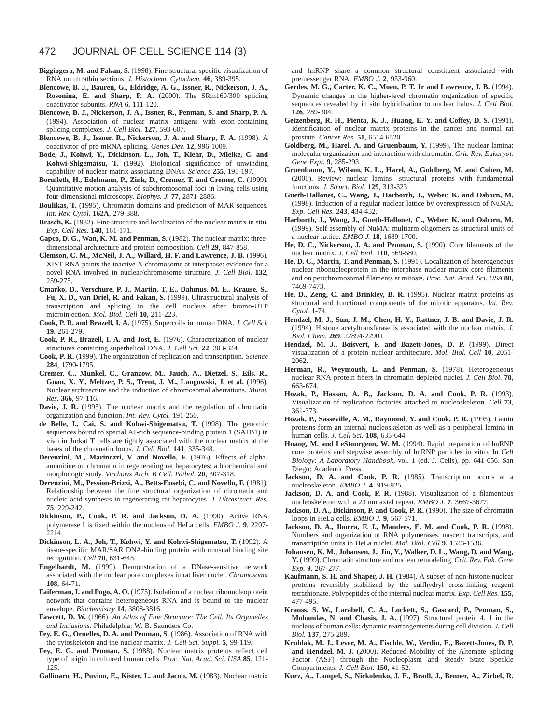- **Biggiogera, M. and Fakan, S.** (1998). Fine structural specific visualization of RNA on ultrathin sections. *J. Histochem. Cytochem.* **46**, 389-395.
- **Blencowe, B. J., Bauren, G., Eldridge, A. G., Issner, R., Nickerson, J. A., Rosonina, E. and Sharp, P. A.** (2000). The SRm160/300 splicing coactivator subunits. *RNA* **6**, 111-120.
- **Blencowe, B. J., Nickerson, J. A., Issner, R., Penman, S. and Sharp, P. A.** (1994). Association of nuclear matrix antigens with exon-containing splicing complexes. *J. Cell Biol.* **127**, 593-607.
- **Blencowe, B. J., Issner, R., Nickerson, J. A. and Sharp, P. A.** (1998). A coactivator of pre-mRNA splicing. *Genes Dev.* **12**, 996-1009.
- **Bode, J., Kohwi, Y., Dickinson, L., Joh, T., Klehr, D., Mielke, C. and Kohwi-Shigematsu, T.** (1992). Biological significance of unwinding capability of nuclear matrix-associating DNAs. *Science* **255**, 195-197.
- **Bornfleth, H., Edelmann, P., Zink, D., Cremer, T. and Cremer, C.** (1999). Quantitative motion analysis of subchromosomal foci in living cells using four-dimensional microscopy. *Biophys. J.* **77**, 2871-2886.
- **Boulikas, T.** (1995). Chromatin domains and prediction of MAR sequences. *Int. Rev. Cytol.* **162A**, 279-388.
- **Brasch, K.** (1982). Fine structure and localization of the nuclear matrix in situ. *Exp. Cell Res.* **140**, 161-171.
- **Capco, D. G., Wan, K. M. and Penman, S.** (1982). The nuclear matrix: threedimensional architecture and protein composition. *Cell* **29**, 847-858.
- **Clemson, C. M., McNeil, J. A., Willard, H. F. and Lawrence, J. B.** (1996). XIST RNA paints the inactive X chromosome at interphase: evidence for a novel RNA involved in nuclear/chromosome structure. *J. Cell Biol.* **132**, 259-275.
- **Cmarko, D., Verschure, P. J., Martin, T. E., Dahmus, M. E., Krause, S., Fu, X. D., van Driel, R. and Fakan, S.** (1999). Ultrastructural analysis of transcription and splicing in the cell nucleus after bromo-UTP microinjection. *Mol. Biol. Cell* **10**, 211-223.
- **Cook, P. R. and Brazell, I. A.** (1975). Supercoils in human DNA. *J. Cell Sci.* **19**, 261-279.
- **Cook, P. R., Brazell, I. A. and Jost, E.** (1976). Characterization of nuclear structures containing superhelical DNA. *J. Cell Sci.* **22**, 303-324.
- **Cook, P. R.** (1999). The organization of replication and transcription. *Science* **284**, 1790-1795.
- **Cremer, C., Munkel, C., Granzow, M., Jauch, A., Dietzel, S., Eils, R., Guan, X. Y., Meltzer, P. S., Trent, J. M., Langowski, J. et al.** (1996). Nuclear architecture and the induction of chromosomal aberrations. *Mutat. Res.* **366**, 97-116.
- Davie, J. R. (1995). The nuclear matrix and the regulation of chromatin organization and function. *Int. Rev. Cytol.* 191-250.
- **de Belle, I., Cai, S. and Kohwi-Shigematsu, T.** (1998). The genomic sequences bound to special AT-rich sequence-binding protein 1 (SATB1) in vivo in Jurkat T cells are tightly associated with the nuclear matrix at the bases of the chromatin loops. *J. Cell Biol.* **141**, 335-348.
- Derenzini, M., Marinozzi, V. and Novello, F. (1976). Effects of alphaamanitine on chromatin in regenerating rat hepatocytes: a biochemical and morphologic study. *Virchows Arch. B Cell. Pathol.* **20**, 307-318.
- **Derenzini, M., Pession-Brizzi, A., Betts-Eusebi, C. and Novello, F.** (1981). Relationship between the fine structural organization of chromatin and nucleic acid synthesis in regenerating rat hepatocytes. *J. Ultrastruct. Res.* **75**, 229-242.
- **Dickinson, P., Cook, P. R. and Jackson, D. A.** (1990). Active RNA polymerase I is fixed within the nucleus of HeLa cells. *EMBO J.* **9**, 2207- 2214.
- **Dickinson, L. A., Joh, T., Kohwi, Y. and Kohwi-Shigematsu, T.** (1992). A tissue-specific MAR/SAR DNA-binding protein with unusual binding site recognition. *Cell* **70**, 631-645.
- **Engelhardt, M.** (1999). Demonstration of a DNase-sensitive network associated with the nuclear pore complexes in rat liver nuclei. *Chromosoma* **108**, 64-71.
- Faiferman, I. and Pogo, A. O. (1975). Isolation of a nuclear ribonucleoprotein network that contains heterogeneous RNA and is bound to the nuclear envelope. *Biochemistry* **14**, 3808-3816.
- **Fawcett, D. W.** (1966). *An Atlas of Fine Structure: The Cell, Its Organelles and Inclusions*. Philadelphia: W. B. Saunders Co.
- **Fey, E. G., Ornelles, D. A. and Penman, S.** (1986). Association of RNA with the cytoskeleton and the nuclear matrix. *J. Cell Sci. Suppl.* **5**, 99-119.
- **Fey, E. G. and Penman, S.** (1988). Nuclear matrix proteins reflect cell type of origin in cultured human cells. *Proc. Nat. Acad. Sci. USA* **85**, 121- 125.
- **Gallinaro, H., Puvion, E., Kister, L. and Jacob, M.** (1983). Nuclear matrix

and hnRNP share a common structural constituent associated with premessenger RNA. *EMBO J.* **2**, 953-960.

- **Gerdes, M. G., Carter, K. C., Moen, P. T. Jr and Lawrence, J. B.** (1994). Dynamic changes in the higher-level chromatin organization of specific sequences revealed by in situ hybridization to nuclear halos. *J. Cell Biol.* **126**, 289-304.
- **Getzenberg, R. H., Pienta, K. J., Huang, E. Y. and Coffey, D. S.** (1991). Identification of nuclear matrix proteins in the cancer and normal rat prostate. *Cancer Res.* **51**, 6514-6520.
- **Goldberg, M., Harel, A. and Gruenbaum, Y.** (1999). The nuclear lamina: molecular organization and interaction with chromatin. *Crit. Rev. Eukaryot. Gene Expr.* **9**, 285-293.
- **Gruenbaum, Y., Wilson, K. L., Harel, A., Goldberg, M. and Cohen, M.** (2000). Review: nuclear lamins—structural proteins with fundamental functions. *J. Struct. Biol.* **129**, 313-323.
- **Gueth-Hallonet, C., Wang, J., Harborth, J., Weber, K. and Osborn, M.** (1998). Induction of a regular nuclear lattice by overexpression of NuMA. *Exp. Cell Res.* **243**, 434-452.
- **Harborth, J., Wang, J., Gueth-Hallonet, C., Weber, K. and Osborn, M.** (1999). Self assembly of NuMA: multiarm oligomers as structural units of a nuclear lattice. *EMBO J.* **18**, 1689-1700.
- **He, D. C., Nickerson, J. A. and Penman, S.** (1990). Core filaments of the nuclear matrix. *J. Cell Biol.* **110**, 569-580.
- **He, D. C., Martin, T. and Penman, S.** (1991). Localization of heterogeneous nuclear ribonucleoprotein in the interphase nuclear matrix core filaments and on perichromosomal filaments at mitosis. *Proc. Nat. Acad. Sci. USA* **88**, 7469-7473.
- **He, D., Zeng, C. and Brinkley, B. R.** (1995). Nuclear matrix proteins as structural and functional components of the mitotic apparatus. *Int. Rev. Cytol.* 1-74.
- **Hendzel, M. J., Sun, J. M., Chen, H. Y., Rattner, J. B. and Davie, J. R.** (1994). Histone acetyltransferase is associated with the nuclear matrix. *J. Biol. Chem.* **269**, 22894-22901.
- **Hendzel, M. J., Boisvert, F. and Bazett-Jones, D. P.** (1999). Direct visualization of a protein nuclear architecture. *Mol. Biol. Cell* **10**, 2051- 2062.
- Herman, R., Weymouth, L. and Penman, S. (1978). Heterogeneous nuclear RNA-protein fibers in chromatin-depleted nuclei. *J. Cell Biol.* **78**, 663-674.
- **Hozak, P., Hassan, A. B., Jackson, D. A. and Cook, P. R.** (1993). Visualization of replication factories attached to nucleoskeleton. *Cell* **73**, 361-373.
- **Hozak, P., Sasseville, A. M., Raymond, Y. and Cook, P. R.** (1995). Lamin proteins form an internal nucleoskeleton as well as a peripheral lamina in human cells. *J. Cell Sci.* **108**, 635-644.
- **Huang, M. and LeStourgeon, W. M.** (1994). Rapid preparation of hnRNP core proteins and stepwise assembly of hnRNP particles in vitro. In *Cell Biology: A Laboratory Handbook*, vol. 1 (ed. J. Celis), pp. 641-656. San Diego: Academic Press.
- Jackson, D. A. and Cook, P. R. (1985). Transcription occurs at a nucleoskeleton. *EMBO J.* **4**, 919-925.
- Jackson, D. A. and Cook, P. R. (1988). Visualization of a filamentous nucleoskeleton with a 23 nm axial repeat. *EMBO J.* **7**, 3667-3677.
- Jackson, D. A., Dickinson, P. and Cook, P. R. (1990). The size of chromatin loops in HeLa cells. *EMBO J.* **9**, 567-571.
- **Jackson, D. A., Iborra, F. J., Manders, E. M. and Cook, P. R.** (1998). Numbers and organization of RNA polymerases, nascent transcripts, and transcription units in HeLa nuclei. *Mol. Biol. Cell* **9**, 1523-1536.
- **Johansen, K. M., Johansen, J., Jin, Y., Walker, D. L., Wang, D. and Wang, Y.** (1999). Chromatin structure and nuclear remodeling. *Crit. Rev. Euk. Gene Exp.* **9**, 267-277.
- **Kaufmann, S. H. and Shaper, J. H.** (1984). A subset of non-histone nuclear proteins reversibly stabilized by the sulfhydryl cross-linking reagent tetrathionate. Polypeptides of the internal nuclear matrix. *Exp. Cell Res.* **155**, 477-495.
- **Krauss, S. W., Larabell, C. A., Lockett, S., Gascard, P., Penman, S., Mohandas, N. and Chasis, J. A.** (1997). Structural protein 4. 1 in the nucleus of human cells: dynamic rearrangements during cell division. *J. Cell Biol.* **137**, 275-289.
- **Kruhlak, M. J., Lever, M. A., Fischle, W., Verdin, E., Bazett-Jones, D. P.** and Hendzel, M. J. (2000). Reduced Mobility of the Alternate Splicing Factor (ASF) through the Nucleoplasm and Steady State Speckle Compartments. *J. Cell Biol.* **150**, 41-52.
- **Kurz, A., Lampel, S., Nickolenko, J. E., Bradl, J., Benner, A., Zirbel, R.**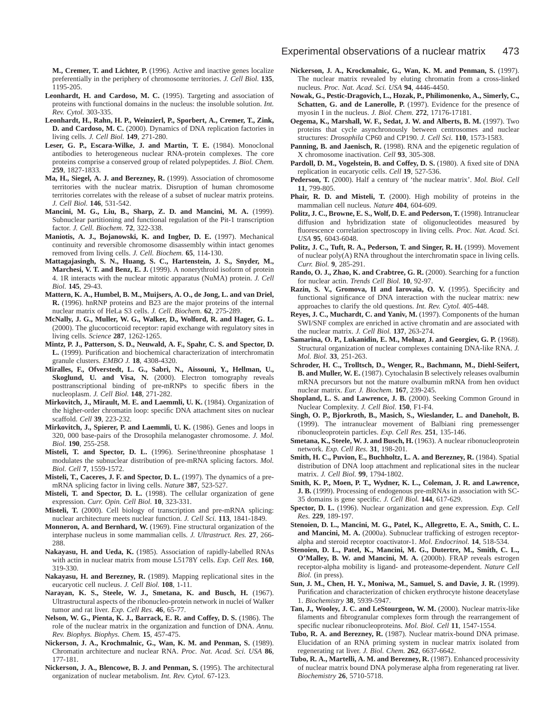**M., Cremer, T. and Lichter, P.** (1996). Active and inactive genes localize preferentially in the periphery of chromosome territories. *J. Cell Biol.* **135**, 1195-205.

- Leonhardt, H. and Cardoso, M. C. (1995). Targeting and association of proteins with functional domains in the nucleus: the insoluble solution. *Int. Rev. Cytol.* 303-335.
- **Leonhardt, H., Rahn, H. P., Weinzierl, P., Sporbert, A., Cremer, T., Zink, D. and Cardoso, M. C.** (2000). Dynamics of DNA replication factories in living cells. *J. Cell Biol.* **149**, 271-280.
- **Leser, G. P., Escara-Wilke, J. and Martin, T. E.** (1984). Monoclonal antibodies to heterogeneous nuclear RNA-protein complexes. The core proteins comprise a conserved group of related polypeptides. *J. Biol. Chem.* **259**, 1827-1833.
- **Ma, H., Siegel, A. J. and Berezney, R.** (1999). Association of chromosome territories with the nuclear matrix. Disruption of human chromosome territories correlates with the release of a subset of nuclear matrix proteins. *J. Cell Biol.* **146**, 531-542.
- **Mancini, M. G., Liu, B., Sharp, Z. D. and Mancini, M. A.** (1999). Subnuclear partitioning and functional regulation of the Pit-1 transcription factor. *J. Cell. Biochem.* **72**, 322-338.
- **Maniotis, A. J., Bojanowski, K. and Ingber, D. E.** (1997). Mechanical continuity and reversible chromosome disassembly within intact genomes removed from living cells. *J. Cell. Biochem.* **65**, 114-130.
- **Mattagajasingh, S. N., Huang, S. C., Hartenstein, J. S., Snyder, M., Marchesi, V. T. and Benz, E. J.** (1999). A nonerythroid isoform of protein 4. 1R interacts with the nuclear mitotic apparatus (NuMA) protein. *J. Cell Biol.* **145**, 29-43.
- **Mattern, K. A., Humbel, B. M., Muijsers, A. O., de Jong, L. and van Driel, R.** (1996). hnRNP proteins and B23 are the major proteins of the internal nuclear matrix of HeLa S3 cells. *J. Cell. Biochem.* **62**, 275-289.
- **McNally, J. G., Muller, W. G., Walker, D., Wolford, R. and Hager, G. L.** (2000). The glucocorticoid receptor: rapid exchange with regulatory sites in living cells. *Science* **287**, 1262-1265.
- **Mintz, P. J., Patterson, S. D., Neuwald, A. F., Spahr, C. S. and Spector, D. L.** (1999). Purification and biochemical characterization of interchromatin granule clusters. *EMBO J.* **18**, 4308-4320.
- **Miralles, F., Ofverstedt, L. G., Sabri, N., Aissouni, Y., Hellman, U., Skoglund, U. and Visa, N.** (2000). Electron tomography reveals posttranscriptional binding of pre-mRNPs to specific fibers in the nucleoplasm. *J. Cell Biol.* **148**, 271-282.
- Mirkovitch, J., Mirault, M. E. and Laemmli, U. K. (1984). Organization of the higher-order chromatin loop: specific DNA attachment sites on nuclear scaffold. *Cell* **39**, 223-232.
- **Mirkovitch, J., Spierer, P. and Laemmli, U. K.** (1986). Genes and loops in 320, 000 base-pairs of the Drosophila melanogaster chromosome. *J. Mol. Biol.* **190**, 255-258.
- **Misteli, T. and Spector, D. L.** (1996). Serine/threonine phosphatase 1 modulates the subnuclear distribution of pre-mRNA splicing factors. *Mol. Biol. Cell* **7**, 1559-1572.
- Misteli, T., Caceres, J. F. and Spector, D. L. (1997). The dynamics of a premRNA splicing factor in living cells. *Nature* **387**, 523-527.
- **Misteli, T. and Spector, D. L.** (1998). The cellular organization of gene expression. *Curr. Opin. Cell Biol.* **10**, 323-331.
- **Misteli, T.** (2000). Cell biology of transcription and pre-mRNA splicing: nuclear architecture meets nuclear function. *J. Cell Sci.* **113**, 1841-1849.
- **Monneron, A. and Bernhard, W.** (1969). Fine structural organization of the interphase nucleus in some mammalian cells. *J. Ultrastruct. Res.* **27**, 266- 288.
- **Nakayasu, H. and Ueda, K.** (1985). Association of rapidly-labelled RNAs with actin in nuclear matrix from mouse L5178Y cells. *Exp. Cell Res.* **160**, 319-330.
- **Nakayasu, H. and Berezney, R.** (1989). Mapping replicational sites in the eucaryotic cell nucleus. *J. Cell Biol.* **108**, 1-11.
- **Narayan, K. S., Steele, W. J., Smetana, K. and Busch, H.** (1967). Ultrastructural aspects of the ribonucleo-protein network in nuclei of Walker tumor and rat liver. *Exp. Cell Res.* **46**, 65-77.
- **Nelson, W. G., Pienta, K. J., Barrack, E. R. and Coffey, D. S.** (1986). The role of the nuclear matrix in the organization and function of DNA. *Annu. Rev. Biophys. Biophys. Chem.* **15**, 457-475.
- **Nickerson, J. A., Krochmalnic, G., Wan, K. M. and Penman, S.** (1989). Chromatin architecture and nuclear RNA. *Proc. Nat. Acad. Sci. USA* **86**, 177-181.
- **Nickerson, J. A., Blencowe, B. J. and Penman, S.** (1995). The architectural organization of nuclear metabolism. *Int. Rev. Cytol.* 67-123.
- **Nickerson, J. A., Krockmalnic, G., Wan, K. M. and Penman, S.** (1997). The nuclear matrix revealed by eluting chromatin from a cross-linked nucleus. *Proc. Nat. Acad. Sci. USA* **94**, 4446-4450.
- **Nowak, G., Pestic-Dragovich, L., Hozak, P., Philimonenko, A., Simerly, C.,** Schatten, G. and de Lanerolle, P. (1997). Evidence for the presence of myosin I in the nucleus. *J. Biol. Chem.* **272**, 17176-17181.
- **Oegema, K., Marshall, W. F., Sedat, J. W. and Alberts, B. M.** (1997). Two proteins that cycle asynchronously between centrosomes and nuclear structures: *Drosophila* CP60 and CP190. *J. Cell Sci.* **110**, 1573-1583.
- Panning, B. and Jaenisch, R. (1998). RNA and the epigenetic regulation of X chromosome inactivation. *Cell* **93**, 305-308.
- Pardoll, D. M., Vogelstein, B. and Coffey, D. S. (1980). A fixed site of DNA replication in eucaryotic cells. *Cell* **19**, 527-536.
- **Pederson, T.** (2000). Half a century of 'the nuclear matrix'. *Mol. Biol. Cell* **11**, 799-805.
- **Phair, R. D. and Misteli, T.** (2000). High mobility of proteins in the mammalian cell nucleus. *Nature* **404**, 604-609.
- Politz, J. C., Browne, E. S., Wolf, D. E. and Pederson, T. (1998). Intranuclear diffusion and hybridization state of oligonucleotides measured by fluorescence correlation spectroscopy in living cells. *Proc. Nat. Acad. Sci. USA* **95**, 6043-6048.
- Politz, J. C., Tuft, R. A., Pederson, T. and Singer, R. H. (1999). Movement of nuclear poly(A) RNA throughout the interchromatin space in living cells. *Curr. Biol.* **9**, 285-291.
- **Rando, O. J., Zhao, K. and Crabtree, G. R.** (2000). Searching for a function for nuclear actin. *Trends Cell Biol.* **10**, 92-97.
- Razin, S. V., Gromova, II and Iarovaia, O. V. (1995). Specificity and functional significance of DNA interaction with the nuclear matrix: new approaches to clarify the old questions. *Int. Rev. Cytol.* 405-448.
- **Reyes, J. C., Muchardt, C. and Yaniv, M.** (1997). Components of the human SWI/SNF complex are enriched in active chromatin and are associated with the nuclear matrix. *J. Cell Biol.* **137**, 263-274.
- **Samarina, O. P., Lukanidin, E. M., Molnar, J. and Georgiev, G. P.** (1968). Structural organization of nuclear complexes containing DNA-like RNA. *J. Mol. Biol.* **33**, 251-263.
- **Schroder, H. C., Trolltsch, D., Wenger, R., Bachmann, M., Diehl-Seifert, B. and Muller, W. E.** (1987). Cytochalasin B selectively releases ovalbumin mRNA precursors but not the mature ovalbumin mRNA from hen oviduct nuclear matrix. *Eur. J. Biochem.* **167**, 239-245.
- Shopland, L. S. and Lawrence, J. B. (2000). Seeking Common Ground in Nuclear Complexity. *J. Cell Biol.* **150**, F1-F4.
- **Singh, O. P., Bjorkroth, B., Masich, S., Wieslander, L. and Daneholt, B.** (1999). The intranuclear movement of Balbiani ring premessenger ribonucleoprotein particles. *Exp. Cell Res.* **251**, 135-146.
- **Smetana, K., Steele, W. J. and Busch, H.** (1963). A nuclear ribonucleoprotein network. *Exp. Cell Res.* **31**, 198-201.
- Smith, H. C., Puvion, E., Buchholtz, L. A. and Berezney, R. (1984). Spatial distribution of DNA loop attachment and replicational sites in the nuclear matrix. *J. Cell Biol.* **99**, 1794-1802.
- **Smith, K. P., Moen, P. T., Wydner, K. L., Coleman, J. R. and Lawrence, J. B.** (1999). Processing of endogenous pre-mRNAs in association with SC-35 domains is gene specific. *J. Cell Biol.* **144**, 617-629.
- **Spector, D. L.** (1996). Nuclear organization and gene expression. *Exp. Cell Res.* **229**, 189-197.
- **Stenoien, D. L., Mancini, M. G., Patel, K., Allegretto, E. A., Smith, C. L.** and Mancini, M. A. (2000a). Subnuclear trafficking of estrogen receptoralpha and steroid receptor coactivator-1. *Mol. Endocrinol.* **14**, 518-534.
- **Stenoien, D. L., Patel, K., Mancini, M. G., Dutertre, M., Smith, C. L., O'Malley, B. W. and Mancini, M. A.** (2000b). FRAP reveals estrogen receptor-alpha mobility is ligand- and proteasome-dependent. *Nature Cell Biol.* (in press).
- **Sun, J. M., Chen, H. Y., Moniwa, M., Samuel, S. and Davie, J. R.** (1999). Purification and characterization of chicken erythrocyte histone deacetylase 1. *Biochemistry* **38**, 5939-5947.
- **Tan, J., Wooley, J. C. and LeStourgeon, W. M.** (2000). Nuclear matrix-like filaments and fibrogranular complexes form through the rearrangement of specific nuclear ribonucleoproteins. *Mol. Biol. Cell* **11**, 1547-1554.
- **Tubo, R. A. and Berezney, R.** (1987). Nuclear matrix-bound DNA primase. Elucidation of an RNA priming system in nuclear matrix isolated from regenerating rat liver. *J. Biol. Chem.* **262**, 6637-6642.
- Tubo, R. A., Martelli, A. M. and Berezney, R. (1987). Enhanced processivity of nuclear matrix bound DNA polymerase alpha from regenerating rat liver. *Biochemistry* **26**, 5710-5718.